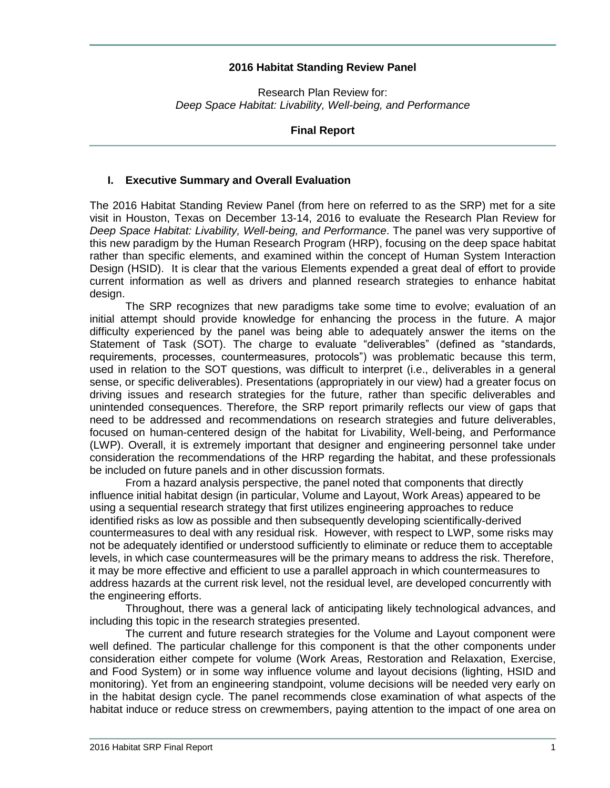### **2016 Habitat Standing Review Panel**

Research Plan Review for: *Deep Space Habitat: Livability, Well-being, and Performance*

#### **Final Report**

#### **I. Executive Summary and Overall Evaluation**

The 2016 Habitat Standing Review Panel (from here on referred to as the SRP) met for a site visit in Houston, Texas on December 13-14, 2016 to evaluate the Research Plan Review for *Deep Space Habitat: Livability, Well-being, and Performance*. The panel was very supportive of this new paradigm by the Human Research Program (HRP), focusing on the deep space habitat rather than specific elements, and examined within the concept of Human System Interaction Design (HSID). It is clear that the various Elements expended a great deal of effort to provide current information as well as drivers and planned research strategies to enhance habitat design.

The SRP recognizes that new paradigms take some time to evolve; evaluation of an initial attempt should provide knowledge for enhancing the process in the future. A major difficulty experienced by the panel was being able to adequately answer the items on the Statement of Task (SOT). The charge to evaluate "deliverables" (defined as "standards, requirements, processes, countermeasures, protocols") was problematic because this term, used in relation to the SOT questions, was difficult to interpret (i.e., deliverables in a general sense, or specific deliverables). Presentations (appropriately in our view) had a greater focus on driving issues and research strategies for the future, rather than specific deliverables and unintended consequences. Therefore, the SRP report primarily reflects our view of gaps that need to be addressed and recommendations on research strategies and future deliverables, focused on human-centered design of the habitat for Livability, Well-being, and Performance (LWP). Overall, it is extremely important that designer and engineering personnel take under consideration the recommendations of the HRP regarding the habitat, and these professionals be included on future panels and in other discussion formats.

From a hazard analysis perspective, the panel noted that components that directly influence initial habitat design (in particular, Volume and Layout, Work Areas) appeared to be using a sequential research strategy that first utilizes engineering approaches to reduce identified risks as low as possible and then subsequently developing scientifically-derived countermeasures to deal with any residual risk. However, with respect to LWP, some risks may not be adequately identified or understood sufficiently to eliminate or reduce them to acceptable levels, in which case countermeasures will be the primary means to address the risk. Therefore, it may be more effective and efficient to use a parallel approach in which countermeasures to address hazards at the current risk level, not the residual level, are developed concurrently with the engineering efforts.

Throughout, there was a general lack of anticipating likely technological advances, and including this topic in the research strategies presented.

The current and future research strategies for the Volume and Layout component were well defined. The particular challenge for this component is that the other components under consideration either compete for volume (Work Areas, Restoration and Relaxation, Exercise, and Food System) or in some way influence volume and layout decisions (lighting, HSID and monitoring). Yet from an engineering standpoint, volume decisions will be needed very early on in the habitat design cycle. The panel recommends close examination of what aspects of the habitat induce or reduce stress on crewmembers, paying attention to the impact of one area on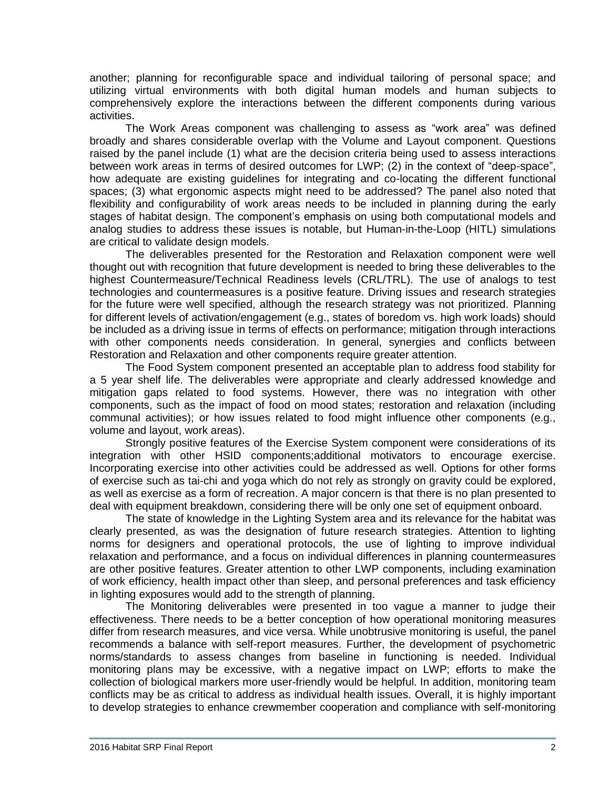another; planning for reconfigurable space and individual tailoring of personal space; and utilizing virtual environments with both digital human models and human subjects to comprehensively explore the interactions between the different components during various activities.

The Work Areas component was challenging to assess as "work area" was defined broadly and shares considerable overlap with the Volume and Layout component. Questions raised by the panel include (1) what are the decision criteria being used to assess interactions between work areas in terms of desired outcomes for LWP; (2) in the context of "deep-space", how adequate are existing guidelines for integrating and co-locating the different functional spaces; (3) what ergonomic aspects might need to be addressed? The panel also noted that flexibility and configurability of work areas needs to be included in planning during the early stages of habitat design. The component's emphasis on using both computational models and analog studies to address these issues is notable, but Human-in-the-Loop (HITL) simulations are critical to validate design models.

The deliverables presented for the Restoration and Relaxation component were well thought out with recognition that future development is needed to bring these deliverables to the highest Countermeasure/Technical Readiness levels (CRL/TRL). The use of analogs to test technologies and countermeasures is a positive feature. Driving issues and research strategies for the future were well specified, although the research strategy was not prioritized. Planning for different levels of activation/engagement (e.g., states of boredom vs. high work loads) should be included as a driving issue in terms of effects on performance; mitigation through interactions with other components needs consideration. In general, synergies and conflicts between Restoration and Relaxation and other components require greater attention.

The Food System component presented an acceptable plan to address food stability for a 5 year shelf life. The deliverables were appropriate and clearly addressed knowledge and mitigation gaps related to food systems. However, there was no integration with other components, such as the impact of food on mood states; restoration and relaxation (including communal activities); or how issues related to food might influence other components (e.g., volume and layout, work areas).

Strongly positive features of the Exercise System component were considerations of its integration with other HSID components;additional motivators to encourage exercise. Incorporating exercise into other activities could be addressed as well. Options for other forms of exercise such as tai-chi and yoga which do not rely as strongly on gravity could be explored, as well as exercise as a form of recreation. A major concern is that there is no plan presented to deal with equipment breakdown, considering there will be only one set of equipment onboard.

The state of knowledge in the Lighting System area and its relevance for the habitat was clearly presented, as was the designation of future research strategies. Attention to lighting norms for designers and operational protocols, the use of lighting to improve individual relaxation and performance, and a focus on individual differences in planning countermeasures are other positive features. Greater attention to other LWP components, including examination of work efficiency, health impact other than sleep, and personal preferences and task efficiency in lighting exposures would add to the strength of planning.

The Monitoring deliverables were presented in too vague a manner to judge their effectiveness. There needs to be a better conception of how operational monitoring measures differ from research measures, and vice versa. While unobtrusive monitoring is useful, the panel recommends a balance with self-report measures. Further, the development of psychometric norms/standards to assess changes from baseline in functioning is needed. Individual monitoring plans may be excessive, with a negative impact on LWP; efforts to make the collection of biological markers more user-friendly would be helpful. In addition, monitoring team conflicts may be as critical to address as individual health issues. Overall, it is highly important to develop strategies to enhance crewmember cooperation and compliance with self-monitoring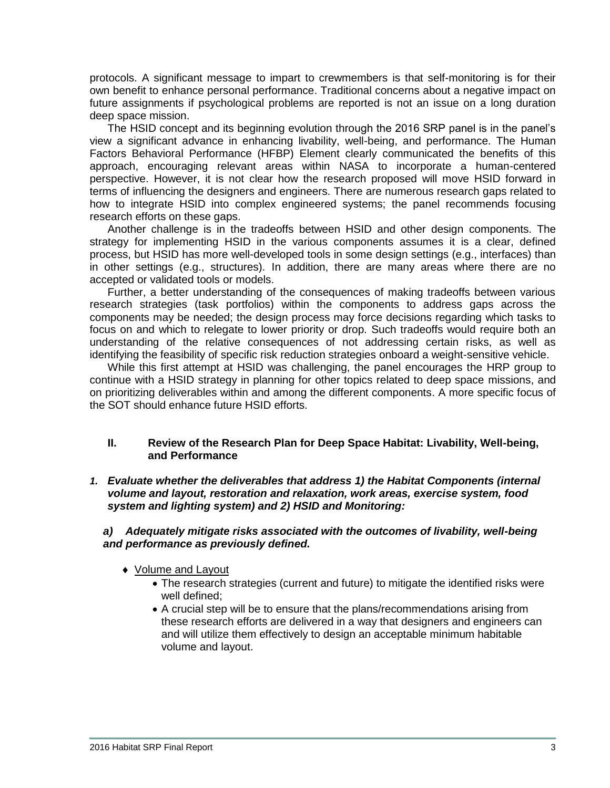protocols. A significant message to impart to crewmembers is that self-monitoring is for their own benefit to enhance personal performance. Traditional concerns about a negative impact on future assignments if psychological problems are reported is not an issue on a long duration deep space mission.

The HSID concept and its beginning evolution through the 2016 SRP panel is in the panel's view a significant advance in enhancing livability, well-being, and performance. The Human Factors Behavioral Performance (HFBP) Element clearly communicated the benefits of this approach, encouraging relevant areas within NASA to incorporate a human-centered perspective. However, it is not clear how the research proposed will move HSID forward in terms of influencing the designers and engineers. There are numerous research gaps related to how to integrate HSID into complex engineered systems; the panel recommends focusing research efforts on these gaps.

Another challenge is in the tradeoffs between HSID and other design components. The strategy for implementing HSID in the various components assumes it is a clear, defined process, but HSID has more well-developed tools in some design settings (e.g., interfaces) than in other settings (e.g., structures). In addition, there are many areas where there are no accepted or validated tools or models.

Further, a better understanding of the consequences of making tradeoffs between various research strategies (task portfolios) within the components to address gaps across the components may be needed; the design process may force decisions regarding which tasks to focus on and which to relegate to lower priority or drop. Such tradeoffs would require both an understanding of the relative consequences of not addressing certain risks, as well as identifying the feasibility of specific risk reduction strategies onboard a weight-sensitive vehicle.

While this first attempt at HSID was challenging, the panel encourages the HRP group to continue with a HSID strategy in planning for other topics related to deep space missions, and on prioritizing deliverables within and among the different components. A more specific focus of the SOT should enhance future HSID efforts.

#### **II. Review of the Research Plan for Deep Space Habitat: Livability, Well-being, and Performance**

*1. Evaluate whether the deliverables that address 1) the Habitat Components (internal volume and layout, restoration and relaxation, work areas, exercise system, food system and lighting system) and 2) HSID and Monitoring:*

### *a) Adequately mitigate risks associated with the outcomes of livability, well-being and performance as previously defined.*

- Volume and Layout
	- The research strategies (current and future) to mitigate the identified risks were well defined;
	- A crucial step will be to ensure that the plans/recommendations arising from these research efforts are delivered in a way that designers and engineers can and will utilize them effectively to design an acceptable minimum habitable volume and layout.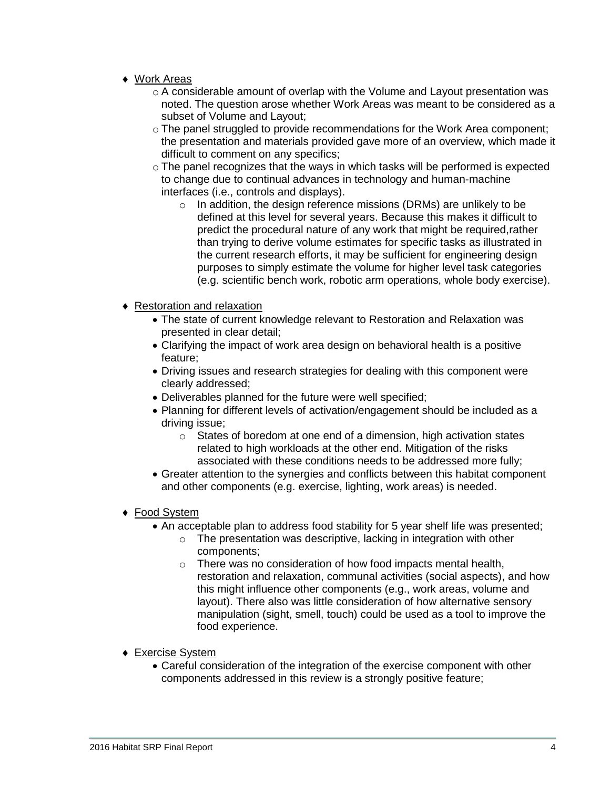- ◆ Work Areas
	- $\circ$  A considerable amount of overlap with the Volume and Layout presentation was noted. The question arose whether Work Areas was meant to be considered as a subset of Volume and Layout;
	- $\circ$  The panel struggled to provide recommendations for the Work Area component; the presentation and materials provided gave more of an overview, which made it difficult to comment on any specifics;
	- $\circ$  The panel recognizes that the ways in which tasks will be performed is expected to change due to continual advances in technology and human-machine interfaces (i.e., controls and displays).
		- o In addition, the design reference missions (DRMs) are unlikely to be defined at this level for several years. Because this makes it difficult to predict the procedural nature of any work that might be required,rather than trying to derive volume estimates for specific tasks as illustrated in the current research efforts, it may be sufficient for engineering design purposes to simply estimate the volume for higher level task categories (e.g. scientific bench work, robotic arm operations, whole body exercise).
- Restoration and relaxation
	- The state of current knowledge relevant to Restoration and Relaxation was presented in clear detail;
	- Clarifying the impact of work area design on behavioral health is a positive feature;
	- Driving issues and research strategies for dealing with this component were clearly addressed;
	- Deliverables planned for the future were well specified;
	- Planning for different levels of activation/engagement should be included as a driving issue;
		- $\circ$  States of boredom at one end of a dimension, high activation states related to high workloads at the other end. Mitigation of the risks associated with these conditions needs to be addressed more fully;
	- Greater attention to the synergies and conflicts between this habitat component and other components (e.g. exercise, lighting, work areas) is needed.
- ◆ Food System
	- An acceptable plan to address food stability for 5 year shelf life was presented;
		- $\circ$  The presentation was descriptive, lacking in integration with other components;
		- o There was no consideration of how food impacts mental health, restoration and relaxation, communal activities (social aspects), and how this might influence other components (e.g., work areas, volume and layout). There also was little consideration of how alternative sensory manipulation (sight, smell, touch) could be used as a tool to improve the food experience.
- Exercise System
	- Careful consideration of the integration of the exercise component with other components addressed in this review is a strongly positive feature;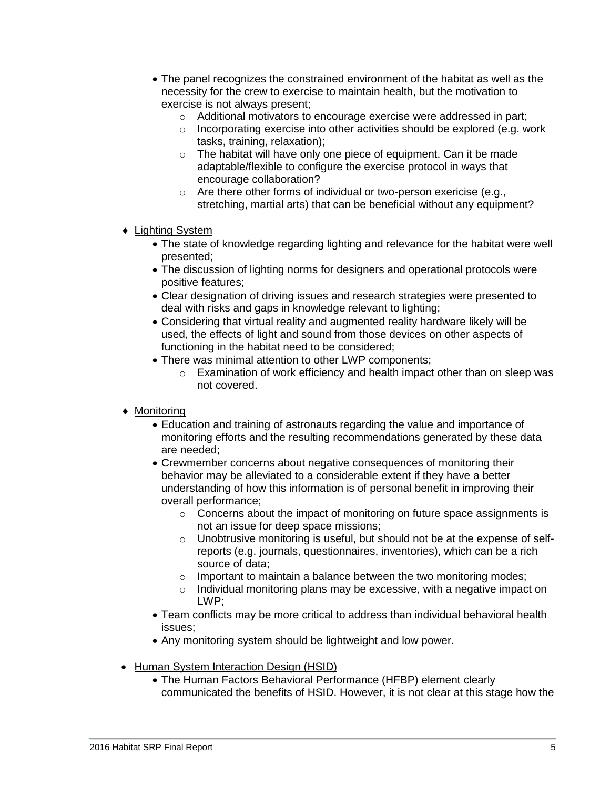- The panel recognizes the constrained environment of the habitat as well as the necessity for the crew to exercise to maintain health, but the motivation to exercise is not always present;
	- o Additional motivators to encourage exercise were addressed in part;
	- o Incorporating exercise into other activities should be explored (e.g. work tasks, training, relaxation);
	- o The habitat will have only one piece of equipment. Can it be made adaptable/flexible to configure the exercise protocol in ways that encourage collaboration?
	- o Are there other forms of individual or two-person exericise (e.g., stretching, martial arts) that can be beneficial without any equipment?
- ◆ Lighting System
	- The state of knowledge regarding lighting and relevance for the habitat were well presented;
	- The discussion of lighting norms for designers and operational protocols were positive features;
	- Clear designation of driving issues and research strategies were presented to deal with risks and gaps in knowledge relevant to lighting;
	- Considering that virtual reality and augmented reality hardware likely will be used, the effects of light and sound from those devices on other aspects of functioning in the habitat need to be considered;
	- There was minimal attention to other LWP components;
		- o Examination of work efficiency and health impact other than on sleep was not covered.
- ◆ Monitoring
	- Education and training of astronauts regarding the value and importance of monitoring efforts and the resulting recommendations generated by these data are needed;
	- Crewmember concerns about negative consequences of monitoring their behavior may be alleviated to a considerable extent if they have a better understanding of how this information is of personal benefit in improving their overall performance;
		- o Concerns about the impact of monitoring on future space assignments is not an issue for deep space missions;
		- $\circ$  Unobtrusive monitoring is useful, but should not be at the expense of selfreports (e.g. journals, questionnaires, inventories), which can be a rich source of data;
		- o Important to maintain a balance between the two monitoring modes;
		- o Individual monitoring plans may be excessive, with a negative impact on LWP;
	- Team conflicts may be more critical to address than individual behavioral health issues;
	- Any monitoring system should be lightweight and low power.
- Human System Interaction Design (HSID)
	- The Human Factors Behavioral Performance (HFBP) element clearly communicated the benefits of HSID. However, it is not clear at this stage how the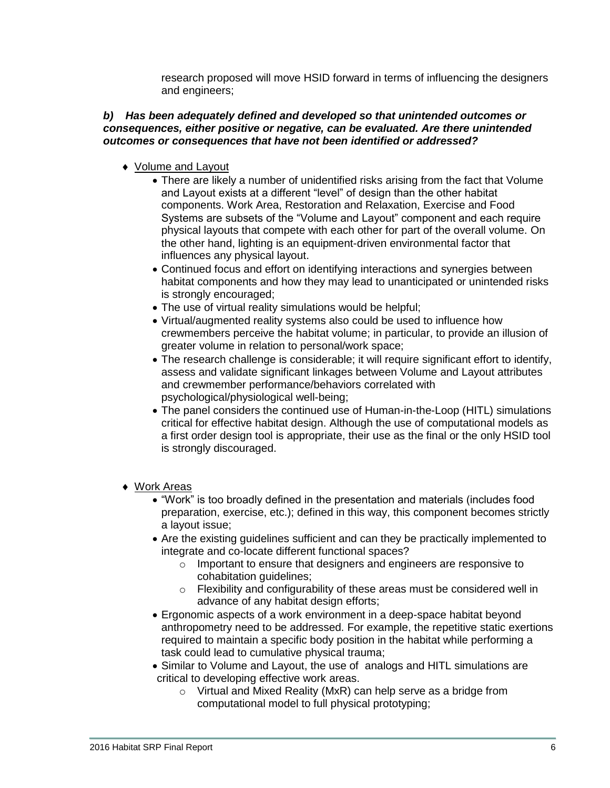research proposed will move HSID forward in terms of influencing the designers and engineers;

## *b) Has been adequately defined and developed so that unintended outcomes or consequences, either positive or negative, can be evaluated. Are there unintended outcomes or consequences that have not been identified or addressed?*

- ◆ Volume and Layout
	- There are likely a number of unidentified risks arising from the fact that Volume and Layout exists at a different "level" of design than the other habitat components. Work Area, Restoration and Relaxation, Exercise and Food Systems are subsets of the "Volume and Layout" component and each require physical layouts that compete with each other for part of the overall volume. On the other hand, lighting is an equipment-driven environmental factor that influences any physical layout.
	- Continued focus and effort on identifying interactions and synergies between habitat components and how they may lead to unanticipated or unintended risks is strongly encouraged;
	- The use of virtual reality simulations would be helpful;
	- Virtual/augmented reality systems also could be used to influence how crewmembers perceive the habitat volume; in particular, to provide an illusion of greater volume in relation to personal/work space;
	- The research challenge is considerable; it will require significant effort to identify, assess and validate significant linkages between Volume and Layout attributes and crewmember performance/behaviors correlated with psychological/physiological well-being;
	- The panel considers the continued use of Human-in-the-Loop (HITL) simulations critical for effective habitat design. Although the use of computational models as a first order design tool is appropriate, their use as the final or the only HSID tool is strongly discouraged.
- Work Areas
	- "Work" is too broadly defined in the presentation and materials (includes food preparation, exercise, etc.); defined in this way, this component becomes strictly a layout issue;
	- Are the existing guidelines sufficient and can they be practically implemented to integrate and co-locate different functional spaces?
		- o Important to ensure that designers and engineers are responsive to cohabitation guidelines;
		- o Flexibility and configurability of these areas must be considered well in advance of any habitat design efforts;
	- Ergonomic aspects of a work environment in a deep-space habitat beyond anthropometry need to be addressed. For example, the repetitive static exertions required to maintain a specific body position in the habitat while performing a task could lead to cumulative physical trauma;
	- Similar to Volume and Layout, the use of analogs and HITL simulations are critical to developing effective work areas.
		- o Virtual and Mixed Reality (MxR) can help serve as a bridge from computational model to full physical prototyping;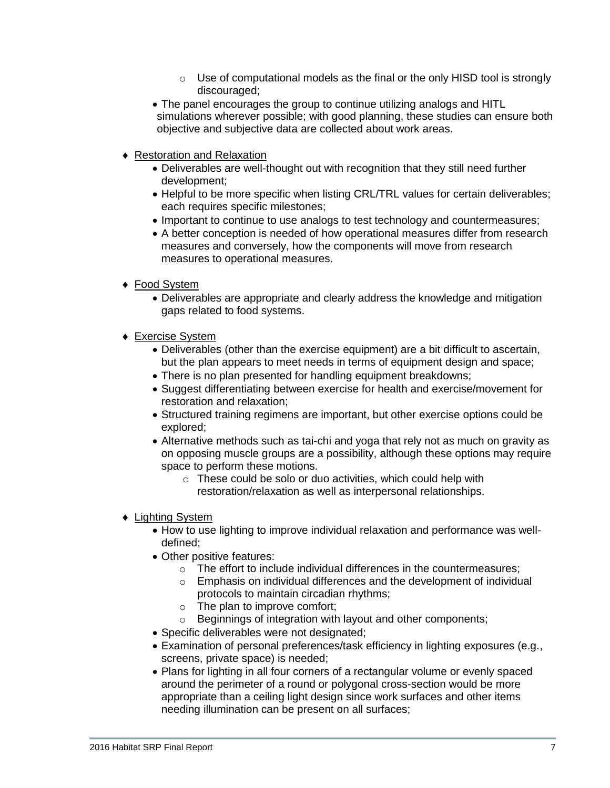- $\circ$  Use of computational models as the final or the only HISD tool is strongly discouraged;
- The panel encourages the group to continue utilizing analogs and HITL simulations wherever possible; with good planning, these studies can ensure both objective and subjective data are collected about work areas.
- Restoration and Relaxation
	- Deliverables are well-thought out with recognition that they still need further development;
	- Helpful to be more specific when listing CRL/TRL values for certain deliverables; each requires specific milestones;
	- Important to continue to use analogs to test technology and countermeasures;
	- A better conception is needed of how operational measures differ from research measures and conversely, how the components will move from research measures to operational measures.
- ◆ Food System
	- Deliverables are appropriate and clearly address the knowledge and mitigation gaps related to food systems.
- Exercise System
	- Deliverables (other than the exercise equipment) are a bit difficult to ascertain, but the plan appears to meet needs in terms of equipment design and space;
	- There is no plan presented for handling equipment breakdowns;
	- Suggest differentiating between exercise for health and exercise/movement for restoration and relaxation;
	- Structured training regimens are important, but other exercise options could be explored;
	- Alternative methods such as tai-chi and yoga that rely not as much on gravity as on opposing muscle groups are a possibility, although these options may require space to perform these motions.
		- $\circ$  These could be solo or duo activities, which could help with restoration/relaxation as well as interpersonal relationships.
- ◆ Lighting System
	- How to use lighting to improve individual relaxation and performance was welldefined;
	- Other positive features:
		- o The effort to include individual differences in the countermeasures;
		- o Emphasis on individual differences and the development of individual protocols to maintain circadian rhythms;
		- o The plan to improve comfort;
		- o Beginnings of integration with layout and other components;
	- Specific deliverables were not designated;
	- Examination of personal preferences/task efficiency in lighting exposures (e.g., screens, private space) is needed;
	- Plans for lighting in all four corners of a rectangular volume or evenly spaced around the perimeter of a round or polygonal cross-section would be more appropriate than a ceiling light design since work surfaces and other items needing illumination can be present on all surfaces;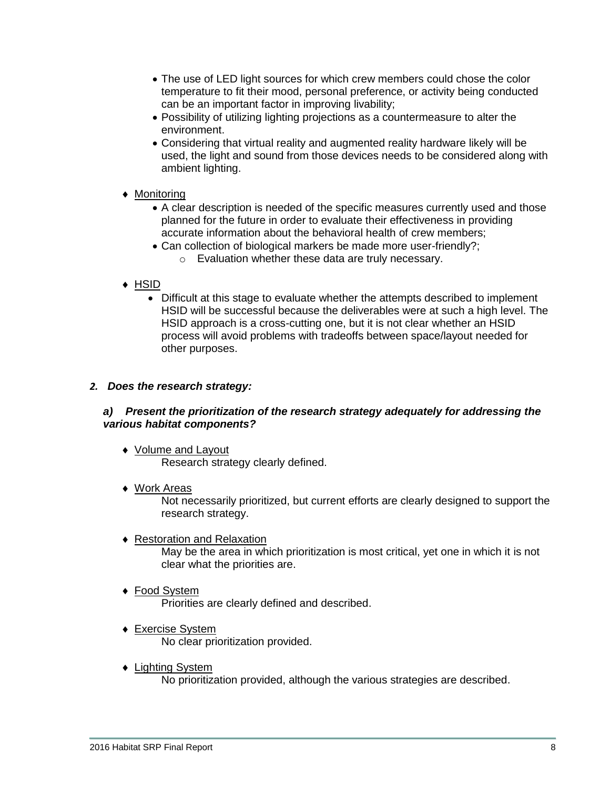- The use of LED light sources for which crew members could chose the color temperature to fit their mood, personal preference, or activity being conducted can be an important factor in improving livability;
- Possibility of utilizing lighting projections as a countermeasure to alter the environment.
- Considering that virtual reality and augmented reality hardware likely will be used, the light and sound from those devices needs to be considered along with ambient lighting.

## ◆ Monitorina

- A clear description is needed of the specific measures currently used and those planned for the future in order to evaluate their effectiveness in providing accurate information about the behavioral health of crew members;
- Can collection of biological markers be made more user-friendly?; o Evaluation whether these data are truly necessary.

# $\triangle$  HSID

 Difficult at this stage to evaluate whether the attempts described to implement HSID will be successful because the deliverables were at such a high level. The HSID approach is a cross-cutting one, but it is not clear whether an HSID process will avoid problems with tradeoffs between space/layout needed for other purposes.

## *2. Does the research strategy:*

## *a) Present the prioritization of the research strategy adequately for addressing the various habitat components?*

- ◆ Volume and Layout Research strategy clearly defined.
- ◆ Work Areas

Not necessarily prioritized, but current efforts are clearly designed to support the research strategy.

Restoration and Relaxation

May be the area in which prioritization is most critical, yet one in which it is not clear what the priorities are.

- ◆ Food System Priorities are clearly defined and described.
- Exercise System No clear prioritization provided.
- ◆ Lighting System No prioritization provided, although the various strategies are described.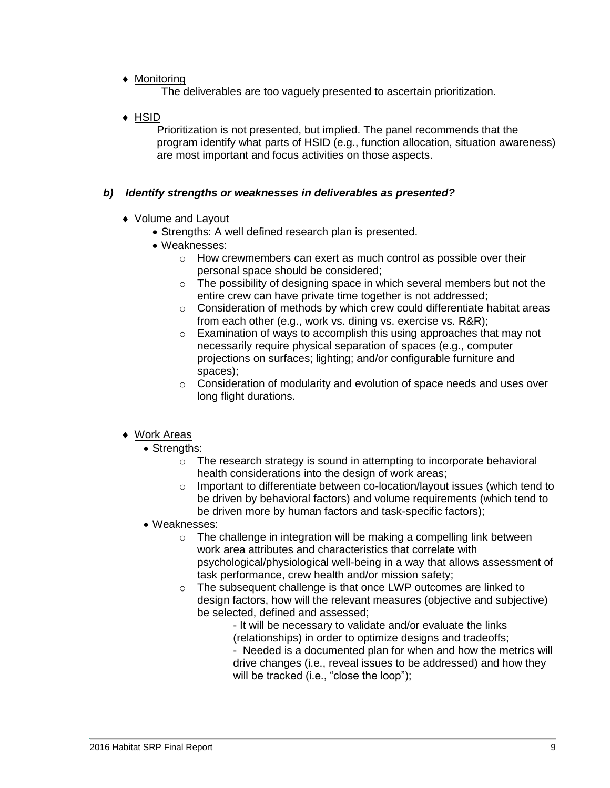◆ Monitoring

The deliverables are too vaguely presented to ascertain prioritization.

 $\triangle$  HSID

Prioritization is not presented, but implied. The panel recommends that the program identify what parts of HSID (e.g., function allocation, situation awareness) are most important and focus activities on those aspects.

## *b) Identify strengths or weaknesses in deliverables as presented?*

- ◆ Volume and Layout
	- Strengths: A well defined research plan is presented.
	- Weaknesses:
		- o How crewmembers can exert as much control as possible over their personal space should be considered;
		- o The possibility of designing space in which several members but not the entire crew can have private time together is not addressed;
		- o Consideration of methods by which crew could differentiate habitat areas from each other (e.g., work vs. dining vs. exercise vs. R&R);
		- o Examination of ways to accomplish this using approaches that may not necessarily require physical separation of spaces (e.g., computer projections on surfaces; lighting; and/or configurable furniture and spaces);
		- o Consideration of modularity and evolution of space needs and uses over long flight durations.

## ◆ Work Areas

- Strengths:
	- o The research strategy is sound in attempting to incorporate behavioral health considerations into the design of work areas;
	- $\circ$  Important to differentiate between co-location/layout issues (which tend to be driven by behavioral factors) and volume requirements (which tend to be driven more by human factors and task-specific factors);
- Weaknesses:
	- o The challenge in integration will be making a compelling link between work area attributes and characteristics that correlate with psychological/physiological well-being in a way that allows assessment of task performance, crew health and/or mission safety;
	- o The subsequent challenge is that once LWP outcomes are linked to design factors, how will the relevant measures (objective and subjective) be selected, defined and assessed;
		- It will be necessary to validate and/or evaluate the links (relationships) in order to optimize designs and tradeoffs;
		- Needed is a documented plan for when and how the metrics will drive changes (i.e., reveal issues to be addressed) and how they will be tracked (i.e., "close the loop");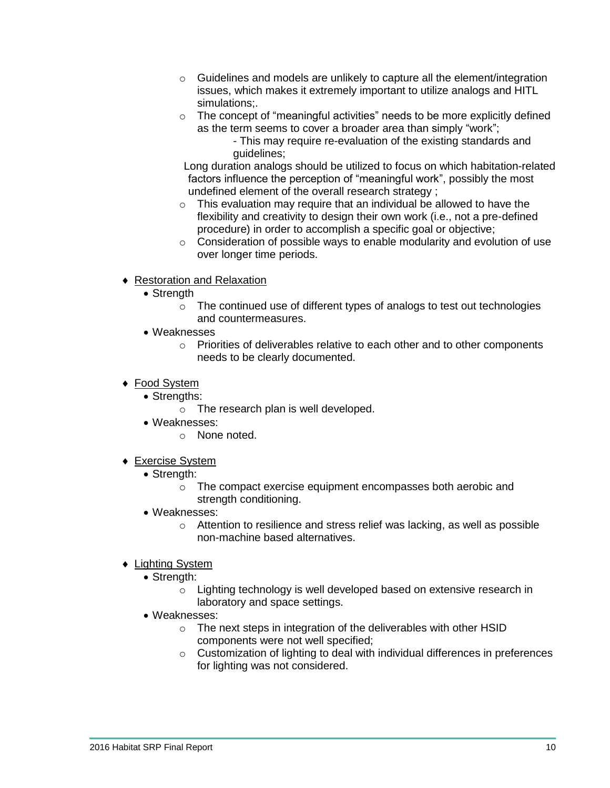- $\circ$  Guidelines and models are unlikely to capture all the element/integration issues, which makes it extremely important to utilize analogs and HITL simulations;.
- o The concept of "meaningful activities" needs to be more explicitly defined as the term seems to cover a broader area than simply "work";
	- This may require re-evaluation of the existing standards and guidelines;

Long duration analogs should be utilized to focus on which habitation-related factors influence the perception of "meaningful work", possibly the most undefined element of the overall research strategy ;

- $\circ$  This evaluation may require that an individual be allowed to have the flexibility and creativity to design their own work (i.e., not a pre-defined procedure) in order to accomplish a specific goal or objective;
- o Consideration of possible ways to enable modularity and evolution of use over longer time periods.
- Restoration and Relaxation
	- Strength
		- o The continued use of different types of analogs to test out technologies and countermeasures.
	- Weaknesses
		- o Priorities of deliverables relative to each other and to other components needs to be clearly documented.
- ◆ Food System
	- Strenaths:
		- o The research plan is well developed.
	- Weaknesses:
		- o None noted.
- Exercise System
	- Strength:
		- o The compact exercise equipment encompasses both aerobic and strength conditioning.
	- Weaknesses:
		- o Attention to resilience and stress relief was lacking, as well as possible non-machine based alternatives.
- Lighting System
	- Strength:
		- o Lighting technology is well developed based on extensive research in laboratory and space settings.
	- Weaknesses:
		- o The next steps in integration of the deliverables with other HSID components were not well specified;
		- o Customization of lighting to deal with individual differences in preferences for lighting was not considered.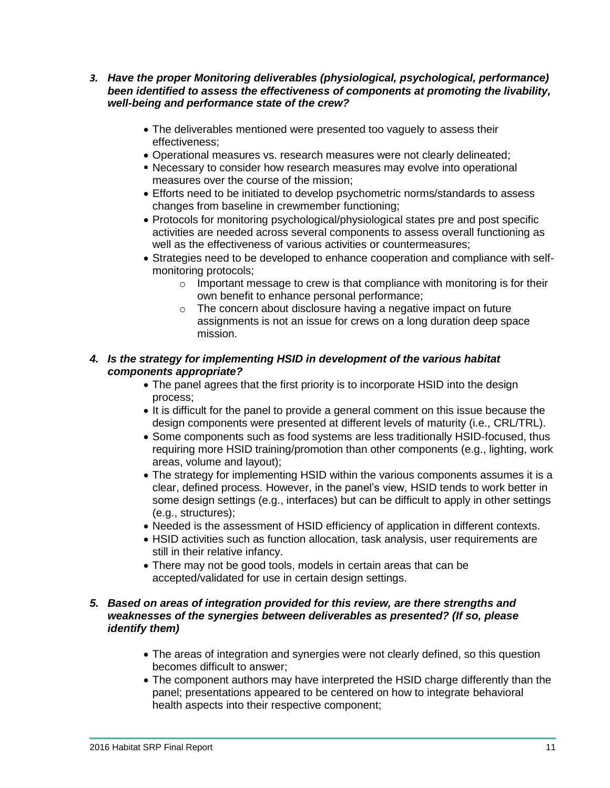- *3. Have the proper Monitoring deliverables (physiological, psychological, performance) been identified to assess the effectiveness of components at promoting the livability, well-being and performance state of the crew?*
	- The deliverables mentioned were presented too vaguely to assess their effectiveness;
	- Operational measures vs. research measures were not clearly delineated;
	- Necessary to consider how research measures may evolve into operational measures over the course of the mission;
	- Efforts need to be initiated to develop psychometric norms/standards to assess changes from baseline in crewmember functioning;
	- Protocols for monitoring psychological/physiological states pre and post specific activities are needed across several components to assess overall functioning as well as the effectiveness of various activities or countermeasures;
	- Strategies need to be developed to enhance cooperation and compliance with selfmonitoring protocols;
		- $\circ$  Important message to crew is that compliance with monitoring is for their own benefit to enhance personal performance;
		- o The concern about disclosure having a negative impact on future assignments is not an issue for crews on a long duration deep space mission.

## *4. Is the strategy for implementing HSID in development of the various habitat components appropriate?*

- The panel agrees that the first priority is to incorporate HSID into the design process;
- It is difficult for the panel to provide a general comment on this issue because the design components were presented at different levels of maturity (i.e., CRL/TRL).
- Some components such as food systems are less traditionally HSID-focused, thus requiring more HSID training/promotion than other components (e.g., lighting, work areas, volume and layout);
- The strategy for implementing HSID within the various components assumes it is a clear, defined process. However, in the panel's view, HSID tends to work better in some design settings (e.g., interfaces) but can be difficult to apply in other settings (e.g., structures);
- Needed is the assessment of HSID efficiency of application in different contexts.
- HSID activities such as function allocation, task analysis, user requirements are still in their relative infancy.
- There may not be good tools, models in certain areas that can be accepted/validated for use in certain design settings.

### *5. Based on areas of integration provided for this review, are there strengths and weaknesses of the synergies between deliverables as presented? (If so, please identify them)*

- The areas of integration and synergies were not clearly defined, so this question becomes difficult to answer;
- The component authors may have interpreted the HSID charge differently than the panel; presentations appeared to be centered on how to integrate behavioral health aspects into their respective component;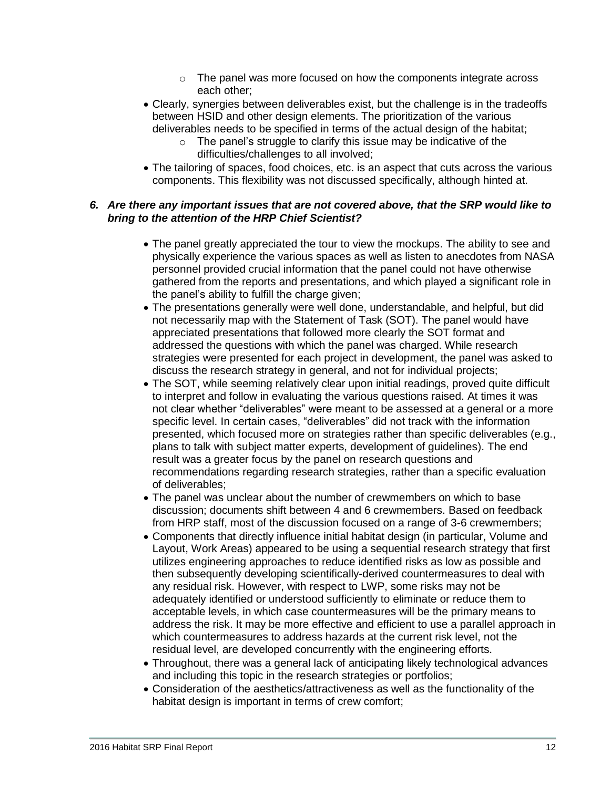- $\circ$  The panel was more focused on how the components integrate across each other;
- Clearly, synergies between deliverables exist, but the challenge is in the tradeoffs between HSID and other design elements. The prioritization of the various deliverables needs to be specified in terms of the actual design of the habitat;
	- $\circ$  The panel's struggle to clarify this issue may be indicative of the difficulties/challenges to all involved;
- The tailoring of spaces, food choices, etc. is an aspect that cuts across the various components. This flexibility was not discussed specifically, although hinted at.

## *6. Are there any important issues that are not covered above, that the SRP would like to bring to the attention of the HRP Chief Scientist?*

- The panel greatly appreciated the tour to view the mockups. The ability to see and physically experience the various spaces as well as listen to anecdotes from NASA personnel provided crucial information that the panel could not have otherwise gathered from the reports and presentations, and which played a significant role in the panel's ability to fulfill the charge given;
- The presentations generally were well done, understandable, and helpful, but did not necessarily map with the Statement of Task (SOT). The panel would have appreciated presentations that followed more clearly the SOT format and addressed the questions with which the panel was charged. While research strategies were presented for each project in development, the panel was asked to discuss the research strategy in general, and not for individual projects;
- The SOT, while seeming relatively clear upon initial readings, proved quite difficult to interpret and follow in evaluating the various questions raised. At times it was not clear whether "deliverables" were meant to be assessed at a general or a more specific level. In certain cases, "deliverables" did not track with the information presented, which focused more on strategies rather than specific deliverables (e.g., plans to talk with subject matter experts, development of guidelines). The end result was a greater focus by the panel on research questions and recommendations regarding research strategies, rather than a specific evaluation of deliverables;
- The panel was unclear about the number of crewmembers on which to base discussion; documents shift between 4 and 6 crewmembers. Based on feedback from HRP staff, most of the discussion focused on a range of 3-6 crewmembers;
- Components that directly influence initial habitat design (in particular, Volume and Layout, Work Areas) appeared to be using a sequential research strategy that first utilizes engineering approaches to reduce identified risks as low as possible and then subsequently developing scientifically-derived countermeasures to deal with any residual risk. However, with respect to LWP, some risks may not be adequately identified or understood sufficiently to eliminate or reduce them to acceptable levels, in which case countermeasures will be the primary means to address the risk. It may be more effective and efficient to use a parallel approach in which countermeasures to address hazards at the current risk level, not the residual level, are developed concurrently with the engineering efforts.
- Throughout, there was a general lack of anticipating likely technological advances and including this topic in the research strategies or portfolios;
- Consideration of the aesthetics/attractiveness as well as the functionality of the habitat design is important in terms of crew comfort: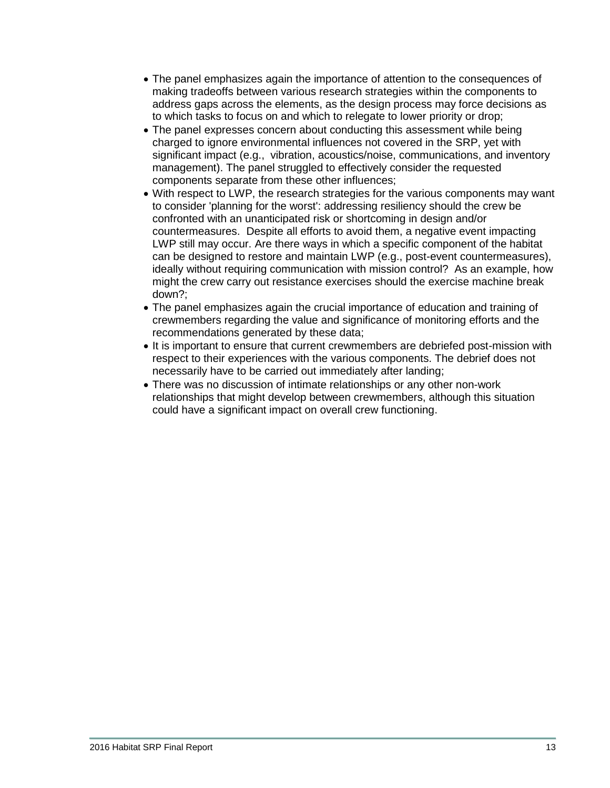- The panel emphasizes again the importance of attention to the consequences of making tradeoffs between various research strategies within the components to address gaps across the elements, as the design process may force decisions as to which tasks to focus on and which to relegate to lower priority or drop;
- The panel expresses concern about conducting this assessment while being charged to ignore environmental influences not covered in the SRP, yet with significant impact (e.g., vibration, acoustics/noise, communications, and inventory management). The panel struggled to effectively consider the requested components separate from these other influences;
- With respect to LWP, the research strategies for the various components may want to consider 'planning for the worst': addressing resiliency should the crew be confronted with an unanticipated risk or shortcoming in design and/or countermeasures. Despite all efforts to avoid them, a negative event impacting LWP still may occur. Are there ways in which a specific component of the habitat can be designed to restore and maintain LWP (e.g., post-event countermeasures), ideally without requiring communication with mission control? As an example, how might the crew carry out resistance exercises should the exercise machine break down?;
- The panel emphasizes again the crucial importance of education and training of crewmembers regarding the value and significance of monitoring efforts and the recommendations generated by these data;
- It is important to ensure that current crewmembers are debriefed post-mission with respect to their experiences with the various components. The debrief does not necessarily have to be carried out immediately after landing;
- There was no discussion of intimate relationships or any other non-work relationships that might develop between crewmembers, although this situation could have a significant impact on overall crew functioning.